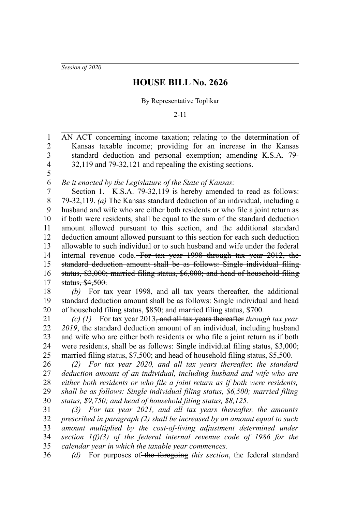*Session of 2020*

1

## **HOUSE BILL No. 2626**

## By Representative Toplikar

2-11

AN ACT concerning income taxation; relating to the determination of Kansas taxable income; providing for an increase in the Kansas standard deduction and personal exemption; amending K.S.A. 79- 32,119 and 79-32,121 and repealing the existing sections. 2 3 4 5

*Be it enacted by the Legislature of the State of Kansas:* 6

Section 1. K.S.A. 79-32,119 is hereby amended to read as follows: 79-32,119. *(a)* The Kansas standard deduction of an individual, including a husband and wife who are either both residents or who file a joint return as if both were residents, shall be equal to the sum of the standard deduction amount allowed pursuant to this section, and the additional standard deduction amount allowed pursuant to this section for each such deduction allowable to such individual or to such husband and wife under the federal internal revenue code. For tax year 1998 through tax year 2012, the standard deduction amount shall be as follows: Single individual filing status, \$3,000; married filing status, \$6,000; and head of household filing status, \$4,500. 7 8 9 10 11 12 13 14 15 16 17

*(b)* For tax year 1998, and all tax years thereafter, the additional standard deduction amount shall be as follows: Single individual and head of household filing status, \$850; and married filing status, \$700. 18 19 20

*(c) (1)* For tax year 2013, and all tax years thereafter *through tax year 2019*, the standard deduction amount of an individual, including husband and wife who are either both residents or who file a joint return as if both were residents, shall be as follows: Single individual filing status, \$3,000; married filing status, \$7,500; and head of household filing status, \$5,500. 21 22 23 24 25

*(2) For tax year 2020, and all tax years thereafter, the standard deduction amount of an individual, including husband and wife who are either both residents or who file a joint return as if both were residents, shall be as follows: Single individual filing status, \$6,500; married filing status, \$9,750; and head of household filing status, \$8,125.* 26 27 28 29 30

*(3) For tax year 2021, and all tax years thereafter, the amounts prescribed in paragraph (2) shall be increased by an amount equal to such amount multiplied by the cost-of-living adjustment determined under section 1(f)(3) of the federal internal revenue code of 1986 for the calendar year in which the taxable year commences.* 31 32 33 34 35

*(d)* For purposes of the foregoing *this section*, the federal standard 36